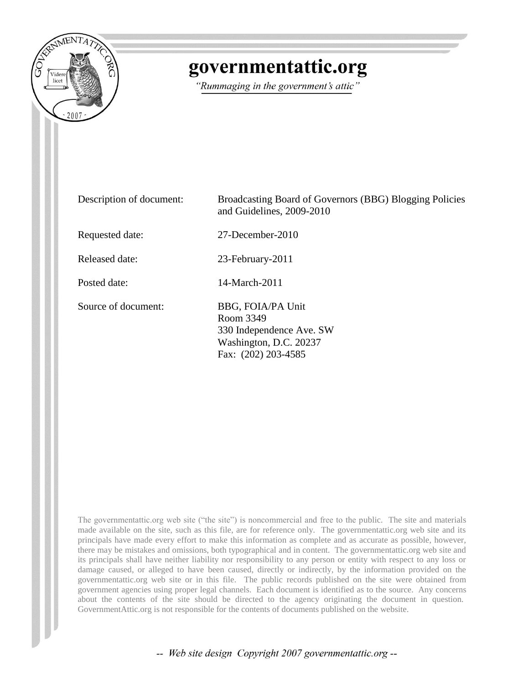

## governmentattic.org

"Rummaging in the government's attic"

| Description of document: | Broadcasting Board of Governors (BBG) Blogging Policies<br>and Guidelines, 2009-2010                        |
|--------------------------|-------------------------------------------------------------------------------------------------------------|
| Requested date:          | 27-December-2010                                                                                            |
| Released date:           | 23-February-2011                                                                                            |
| Posted date:             | 14-March-2011                                                                                               |
| Source of document:      | BBG, FOIA/PA Unit<br>Room 3349<br>330 Independence Ave. SW<br>Washington, D.C. 20237<br>Fax: (202) 203-4585 |

The governmentattic.org web site ("the site") is noncommercial and free to the public. The site and materials made available on the site, such as this file, are for reference only. The governmentattic.org web site and its principals have made every effort to make this information as complete and as accurate as possible, however, there may be mistakes and omissions, both typographical and in content. The governmentattic.org web site and its principals shall have neither liability nor responsibility to any person or entity with respect to any loss or damage caused, or alleged to have been caused, directly or indirectly, by the information provided on the governmentattic.org web site or in this file. The public records published on the site were obtained from government agencies using proper legal channels. Each document is identified as to the source. Any concerns about the contents of the site should be directed to the agency originating the document in question. GovernmentAttic.org is not responsible for the contents of documents published on the website.

-- Web site design Copyright 2007 governmentattic.org --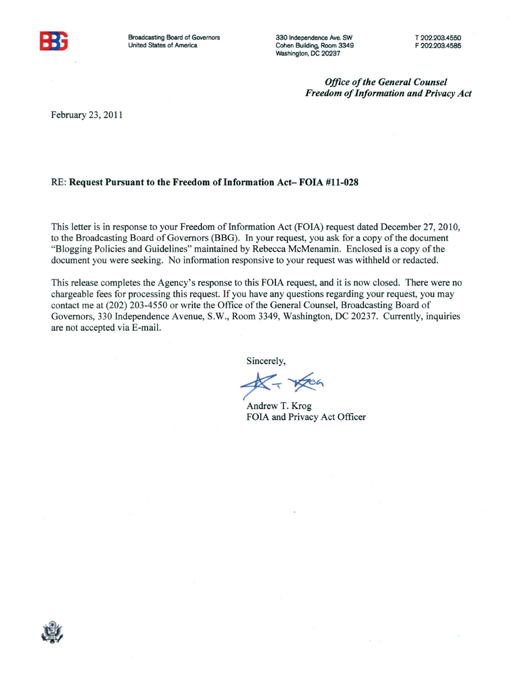

Broadcasting Board of Governors United States of America

330 Independence Ave. SW Cohen Building, Room 3349 Washington, DC 20237

*Office of the General Counsel Freedom of Information and Privacy Act* 

February 23, 2011

#### RE: Request Pursuant to the Freedom of Information Act- FOIA #11-028

This letter is in response to your Freedom of Information Act (FOIA) request dated December 27, 2010, to the Broadcasting Board of Governors (BBG). In your request, you ask for a copy of the document "Blogging Policies and Guidelines" maintained by Rebecca McMenamin. Enclosed is a copy of the document you were seeking. No information responsive to your request was withheld or redacted.

This release completes the Agency's response to this FOIA request, and it is now closed. There were no chargeable fees for processing this request. If you have any questions regarding your request, you may contact me at (202) 203-4550 or write the Office of the General Counsel, Broadcasting Board of Governors, 330 Independence Avenue, S.W., Room 3349, Washington, DC 20237. Currently, inquiries are not accepted via E-mail.

Sincerely,

 $*_{\mathbb{Z}}$  +  $*_{\mathbb{Z}}$ 

Andrew T. Krog FOIA and Privacy Act Officer

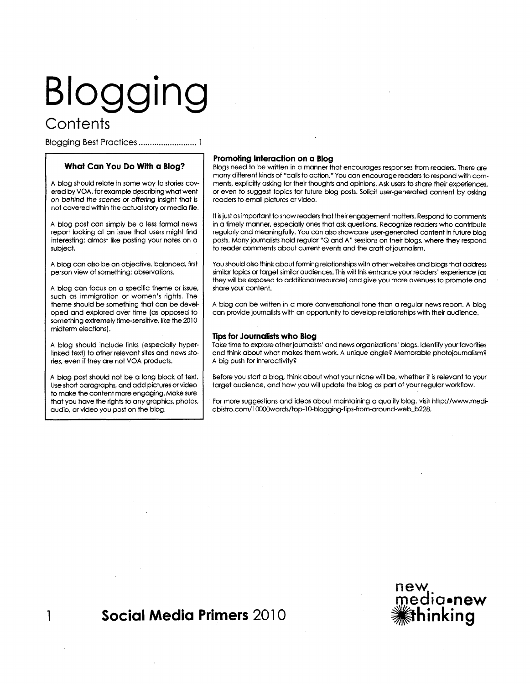# **Blogging Contents**

Blogging Best Practices .......................... 1

#### **What Can You Do With a Blog?**

A blog should relate in some way to stories covered by VOA, for example describing what went on behind the *scenes* or offering insight that is not covered within the actual story or media file.

A blog post can simply be a less formal news report looking at an issue that users might find interesting; almost like posting your notes on a subject.

A blog can also be an objective, balanced, first person view of something; observations.

A blog can focus on a specific theme or issue, such as immigration or women's rights. The theme should be something that can be developed and explored over time (as opposed to something extremely time-sensitive, like the 2010 midterm elections).

A blog should include links (especially hyperlinked text) to other relevant sites and news stories, even if they are not VOA products.

A blog post should not be a long block of text. Use short paragraphs, and add pictures or video to make the content more engaging. Make sure that you have the rights to any graphics, photos, audio, or video you post on the blog.

#### **Promoting Interaction on a Blog**

Blogs need to be written in a manner that encourages responses from readers. There are many different kinds of "calls to action." You can encourage readers to respond with comments, explicitly asking for their thoughts and opinions. Ask users to share their experiences, or even to suggest topics for future blog posts. Solicit user-generated content by asking readers to email pictures or video.

It is just as important to show readers that their engagement matters. Respond to comments in a timely manner, especially ones that ask questions. Recognize readers who contribute regularly and meaningfully. You can also showcase user-generated content in future blog posts. Many journalists hold regular "Q and A" sessions on their blogs, where they respond to reader comments about current events and the craft of journalism.

You should also think about forming relationships with other websites and blogs that address similar topics or target similar audiences. This will this enhance your readers' experience (as they will be exposed to additional resources) and give you more avenues to promote and share your content.

A blog can be written in a more conversational tone than a regular news report. A blog can provide journalists with an opportunity to develop relationships with their audience.

#### **nps for Journalists who Blog**

Take time to explore other journalists' and news organizations' blogs. Identify your favorities and think about what makes them work. A unique ahgle? Memorable photojournalism? A big push for interactivity?

Before you start a blog, think about what your niche will be, whether it is relevant to your target audience, and how you will update the blog as part of your regular workflow.

For more suggestions and ideas about maintaining a quality blog, visit http:/ /www.mediabistro.com/10000words/top-10-blogging-tips-from-around-web\_b228.

## **1 Social Media Primers** 2010

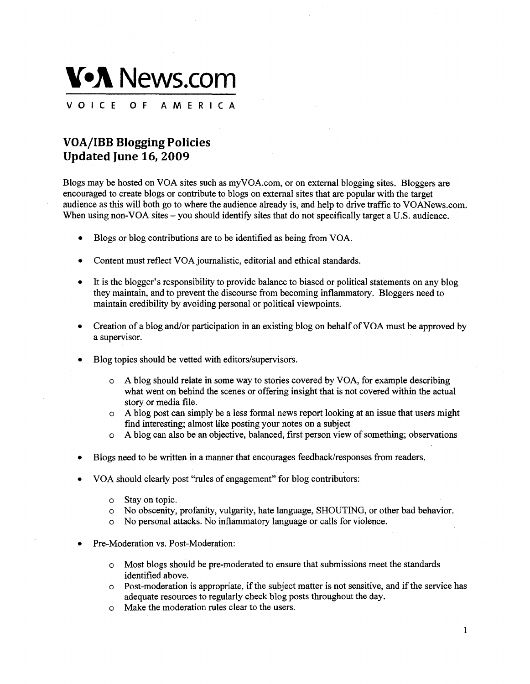

### **VOA/IBB Blogging Policies Updated June 16, 2009**

Blogs may be hosted on VOA sites such as myVOA.com, or on external blogging sites. Bloggers are encouraged to create blogs or contribute to blogs on external sites that are popular with the target audience as this will both go to where the audience already is, and help to drive traffic to VOANews.com. When using non-VOA sites – you should identify sites that do not specifically target a U.S. audience.

- Blogs or blog contributions are to be identified as being from VOA.
- Content must reflect VOA journalistic, editorial and ethical standards.
- It is the blogger's responsibility to provide balance to biased or political statements on any blog they maintain, and to prevent the discourse from becoming inflammatory. Bloggers need to maintain credibility by avoiding personal or political viewpoints.
- Creation of a blog and/or participation in an existing blog on behalf ofVOA must be approved by a supervisor.
- Blog topics should be vetted with editors/supervisors.
	- o A blog should relate in some way to stories covered by VOA, for example describing what went on behind the scenes or offering insight that is not covered within the actual story or media file.
	- o A blog post can simply be a less formal news report looking at an issue that users might find interesting; almost like posting your notes on a subject
	- o A blog can also be an objective, balanced, first person view of something; observations
- Blogs need to be written in a manner that encourages feedback/responses from readers.
- VOA should clearly post "rules of engagement" for blog contributors:
	- o Stay on topic.
	- o No obscenity, profanity, vulgarity, hate language, SHOUTING, or other bad behavior.
	- o No personal attacks. No inflammatory language or calls for violence.
- Pre-Moderation vs. Post-Moderation:
	- o Most blogs should be pre-moderated to ensure that submissions meet the standards identified above.
	- o Post-moderation is appropriate, if the subject matter is not sensitive, and if the service has adequate resources to regularly check blog posts throughout the day.
	- o Make the moderation rules clear to the users.